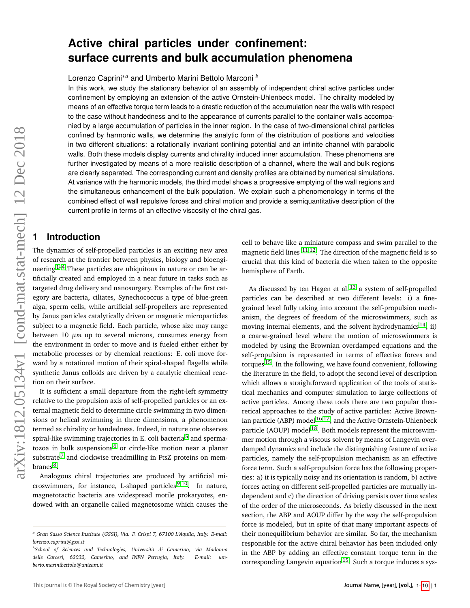# **Active chiral particles under confinement: surface currents and bulk accumulation phenomena**

Lorenzo Caprini∗*<sup>a</sup>* and Umberto Marini Bettolo Marconi *<sup>b</sup>*

In this work, we study the stationary behavior of an assembly of independent chiral active particles under confinement by employing an extension of the active Ornstein-Uhlenbeck model. The chirality modeled by means of an effective torque term leads to a drastic reduction of the accumulation near the walls with respect to the case without handedness and to the appearance of currents parallel to the container walls accompanied by a large accumulation of particles in the inner region. In the case of two-dimensional chiral particles confined by harmonic walls, we determine the analytic form of the distribution of positions and velocities in two different situations: a rotationally invariant confining potential and an infinite channel with parabolic walls. Both these models display currents and chirality induced inner accumulation. These phenomena are further investigated by means of a more realistic description of a channel, where the wall and bulk regions are clearly separated. The corresponding current and density profiles are obtained by numerical simulations. At variance with the harmonic models, the third model shows a progressive emptying of the wall regions and the simultaneous enhancement of the bulk population. We explain such a phenomenology in terms of the combined effect of wall repulsive forces and chiral motion and provide a semiquantitative description of the current profile in terms of an effective viscosity of the chiral gas.

### **1 Introduction**

The dynamics of self-propelled particles is an exciting new area of research at the frontier between physics, biology and bioengineering  $1-4$  $1-4$ . These particles are ubiquitous in nature or can be artificially created and employed in a near future in tasks such as targeted drug delivery and nanosurgery. Examples of the first category are bacteria, ciliates, Synechococcus a type of blue-green alga, sperm cells, while artificial self-propellers are represented by Janus particles catalytically driven or magnetic microparticles subject to a magnetic field. Each particle, whose size may range between 10 µ*m* up to several microns, consumes energy from the environment in order to move and is fueled either either by metabolic processes or by chemical reactions: E. coli move forward by a rotational motion of their spiral-shaped flagella while synthetic Janus colloids are driven by a catalytic chemical reaction on their surface.

It is sufficient a small departure from the right-left symmetry relative to the propulsion axis of self-propelled particles or an external magnetic field to determine circle swimming in two dimensions or helical swimming in three dimensions, a phenomenon termed as chirality or handedness. Indeed, in nature one observes spiral-like swimming trajectories in E. coli bacteria<sup>[5](#page-9-2)</sup> and sperma-tozoa in bulk suspensions<sup>[6](#page-9-3)</sup> or circle-like motion near a planar substrate<sup>[7](#page-9-4)</sup> and clockwise treadmilling in FtsZ proteins on mem-branes <sup>[8](#page-9-5)</sup>.

Analogous chiral trajectories are produced by artificial microswimmers, for instance, L-shaped particles  $9,10$  $9,10$ . In nature, magnetotactic bacteria are widespread motile prokaryotes, endowed with an organelle called magnetosome which causes the cell to behave like a miniature compass and swim parallel to the magnetic field lines  $11,12$  $11,12$ . The direction of the magnetic field is so crucial that this kind of bacteria die when taken to the opposite hemisphere of Earth.

As discussed by ten Hagen et al.  $^{13}$  $^{13}$  $^{13}$  a system of self-propelled particles can be described at two different levels: i) a finegrained level fully taking into account the self-propulsion mechanism, the degrees of freedom of the microswimmers, such as moving internal elements, and the solvent hydrodynamics  $^{14}$  $^{14}$  $^{14}$ , ii) a coarse-grained level where the motion of microswimmers is modeled by using the Brownian overdamped equations and the self-propulsion is represented in terms of effective forces and torques [15](#page-9-12). In the following, we have found convenient, following the literature in the field, to adopt the second level of description which allows a straightforward application of the tools of statistical mechanics and computer simulation to large collections of active particles. Among these tools there are two popular theoretical approaches to the study of active particles: Active Brownian particle (ABP) model  $16,17$  $16,17$ , and the Active Ornstein-Uhlenbeck particle (AOUP) model<sup>[18](#page-9-15)</sup>. Both models represent the microswimmer motion through a viscous solvent by means of Langevin overdamped dynamics and include the distinguishing feature of active particles, namely the self-propulsion mechanism as an effective force term. Such a self-propulsion force has the following properties: a) it is typically noisy and its orientation is random, b) active forces acting on different self-propelled particles are mutually independent and c) the direction of driving persists over time scales of the order of the microseconds. As briefly discussed in the next section, the ABP and AOUP differ by the way the self-propulsion force is modeled, but in spite of that many important aspects of their nonequilibrium behavior are similar. So far, the mechanism responsible for the active chiral behavior has been included only in the ABP by adding an effective constant torque term in the corresponding Langevin equation<sup>[15](#page-9-12)</sup>. Such a torque induces a sys-Journal is the total of the state-mechanism is determined the number of the distribution of the stationary interest of the state-mechanism is determined to the state-mechanism is determined to the state-mechanism is deter

*<sup>a</sup> Gran Sasso Science Institute (GSSI), Via. F. Crispi 7, 67100 L'Aquila, Italy. E-mail: lorenzo.caprini@gssi.it*

*<sup>b</sup>School of Sciences and Technologies, Università di Camerino, via Madonna delle Carceri, 62032, Camerino, and INFN Perrugia, Italy. E-mail: umberto.marinibettolo@unicam.it*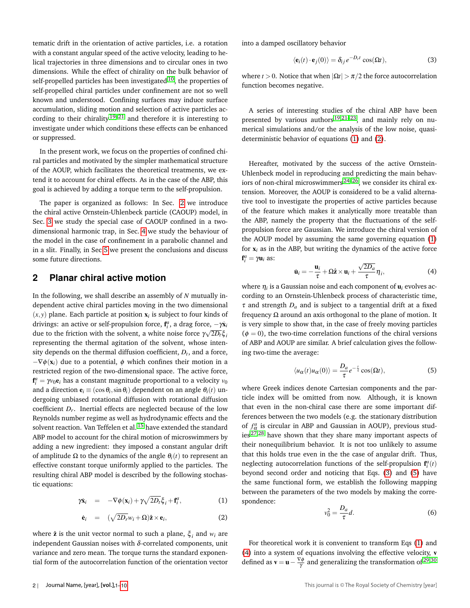tematic drift in the orientation of active particles, i.e. a rotation with a constant angular speed of the active velocity, leading to helical trajectories in three dimensions and to circular ones in two dimensions. While the effect of chirality on the bulk behavior of self-propelled particles has been investigated  $10$ , the properties of self-propelled chiral particles under confinement are not so well known and understood. Confining surfaces may induce surface accumulation, sliding motion and selection of active particles according to their chirality  $19-21$  $19-21$  and therefore it is interesting to investigate under which conditions these effects can be enhanced or suppressed.

In the present work, we focus on the properties of confined chiral particles and motivated by the simpler mathematical structure of the AOUP, which facilitates the theoretical treatments, we extend it to account for chiral effects. As in the case of the ABP, this goal is achieved by adding a torque term to the self-propulsion.

The paper is organized as follows: In Sec. [2](#page-1-0) we introduce the chiral active Ornstein-Uhlenbeck particle (CAOUP) model, in Sec. [3](#page-3-0) we study the special case of CAOUP confined in a twodimensional harmonic trap, in Sec. [4](#page-3-1) we study the behaviour of the model in the case of confinement in a parabolic channel and in a slit. Finally, in Sec [5](#page-8-0) we present the conclusions and discuss some future directions.

# <span id="page-1-0"></span>**2 Planar chiral active motion**

In the following, we shall describe an assembly of *N* mutually independent active chiral particles moving in the two dimensional  $(x, y)$  plane. Each particle at position  $\mathbf{x}_i$  is subject to four kinds of drivings: an active or self-propulsion force,  $\mathbf{f}^a_i$ , a drag force,  $-\gamma \dot{\mathbf{x}}_i$ due to the friction with the solvent, a white noise force  $\gamma \sqrt{2D_f} \xi_i$ representing the thermal agitation of the solvent, whose intensity depends on the thermal diffusion coefficient, *Dt* , and a force,  $-\nabla\phi(\mathbf{x}_i)$  due to a potential,  $\phi$  which confines their motion in a restricted region of the two-dimensional space. The active force,  $f_i^a = \gamma v_0 e_i$  has a constant magnitude proportional to a velocity  $v_0$ and a direction  $\mathbf{e}_i \equiv (\cos \theta_i, \sin \theta_i)$  dependent on an angle  $\theta_i(t)$  undergoing unbiased rotational diffusion with rotational diffusion coefficient *Dr*. Inertial effects are neglected because of the low Reynolds number regime as well as hydrodynamic effects and the solvent reaction. Van Teffelen et al. <sup>[15](#page-9-12)</sup> have extended the standard ABP model to account for the chiral motion of microswimmers by adding a new ingredient: they imposed a constant angular drift of amplitude Ω to the dynamics of the angle θ*i*(*t*) to represent an effective constant torque uniformly applied to the particles. The resulting chiral ABP model is described by the following stochastic equations:

<span id="page-1-1"></span>
$$
\gamma \dot{\mathbf{x}}_i = -\nabla \phi(\mathbf{x}_i) + \gamma \sqrt{2D_t} \xi_i + \mathbf{f}_i^a, \tag{1}
$$

$$
\dot{\mathbf{e}}_i = (\sqrt{2D_r}w_i + \Omega)\hat{\mathbf{z}} \times \mathbf{e}_i, \tag{2}
$$

where  $\hat{\mathbf{z}}$  is the unit vector normal to such a plane,  $\xi_i$  and  $w_i$  are independent Gaussian noises with  $\delta$ -correlated components, unit variance and zero mean. The torque turns the standard exponential form of the autocorrelation function of the orientation vector into a damped oscillatory behavior

<span id="page-1-2"></span>
$$
\langle \mathbf{e}_i(t) \cdot \mathbf{e}_j(0) \rangle = \delta_{ij} e^{-D_r t} \cos(\Omega t), \tag{3}
$$

where *t* > 0. Notice that when  $|\Omega t|$  >  $\pi/2$  the force autocorrelation function becomes negative.

A series of interesting studies of the chiral ABP have been presented by various authors [19](#page-9-17)[,21](#page-9-18)[–23](#page-9-19), and mainly rely on numerical simulations and/or the analysis of the low noise, quasideterministic behavior of equations [\(1\)](#page-1-1) and [\(2\)](#page-1-1).

Hereafter, motivated by the success of the active Ornstein-Uhlenbeck model in reproducing and predicting the main behaviors of non-chiral microswimmers [24](#page-9-20)[–26](#page-9-21), we consider its chiral extension. Moreover, the AOUP is considered to be a valid alternative tool to investigate the properties of active particles because of the feature which makes it analytically more treatable than the ABP, namely the property that the fluctuations of the selfpropulsion force are Gaussian. We introduce the chiral version of the AOUP model by assuming the same governing equation [\(1\)](#page-1-1) for  $x_i$  as in the ABP, but writing the dynamics of the active force  $\mathbf{f}^a_i = \gamma \mathbf{u}_i$  as: √

<span id="page-1-4"></span>
$$
\dot{\mathbf{u}}_i = -\frac{\mathbf{u}_i}{\tau} + \Omega \hat{\mathbf{z}} \times \mathbf{u}_i + \frac{\sqrt{2D_a}}{\tau} \eta_i,
$$
 (4)

where η*i* is a Gaussian noise and each component of u*i* evolves according to an Ornstein-Uhlenbeck process of characteristic time,  $\tau$  and strength  $D_a$  and is subject to a tangential drift at a fixed frequency Ω around an axis orthogonal to the plane of motion. It is very simple to show that, in the case of freely moving particles  $(\phi = 0)$ , the two-time correlation functions of the chiral versions of ABP and AOUP are similar. A brief calculation gives the following two-time the average:

<span id="page-1-3"></span>
$$
\langle u_{\alpha}(t)u_{\alpha}(0)\rangle = \frac{D_a}{\tau}e^{-\frac{t}{\tau}}\cos(\Omega t),\tag{5}
$$

where Greek indices denote Cartesian components and the particle index will be omitted from now. Although, it is known that even in the non-chiral case there are some important differences between the two models (e.g. the stationary distribution of  $f^a_\alpha$  is circular in ABP and Gaussian in AOUP), previous studies [27](#page-9-22)[,28](#page-9-23) have shown that they share many important aspects of their nonequilibrium behavior. It is not too unlikely to assume that this holds true even in the the case of angular drift. Thus, neglecting autocorrelation functions of the self-propulsion  $\mathbf{f}^a_i(t)$ beyond second order and noticing that Eqs. [\(3\)](#page-1-2) and [\(5\)](#page-1-3) have the same functional form, we establish the following mapping between the parameters of the two models by making the correspondence:

$$
v_0^2 = \frac{D_a}{\tau} d. \tag{6}
$$

For theoretical work it is convenient to transform Eqs [\(1\)](#page-1-1) and [\(4\)](#page-1-4) into a system of equations involving the effective velocity, v defined as  $\mathbf{v} = \mathbf{u} - \frac{\nabla \phi}{\gamma}$  and generalizing the transformation of <sup>[29](#page-9-24)[,30](#page-9-25)</sup>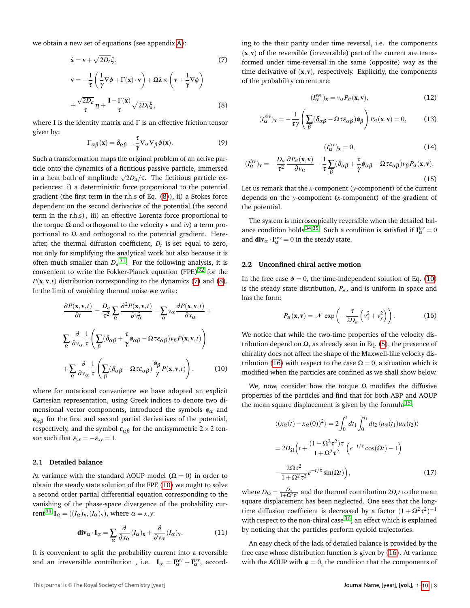we obtain a new set of equations (see appendix [A\)](#page-8-1):

<span id="page-2-0"></span>
$$
\dot{\mathbf{x}} = \mathbf{v} + \sqrt{2D_t} \xi,
$$
\n
$$
\dot{\mathbf{v}} = -\frac{1}{\tau} \left( \frac{1}{\gamma} \nabla \phi + \Gamma(\mathbf{x}) \cdot \mathbf{v} \right) + \Omega \hat{\mathbf{z}} \times \left( \mathbf{v} + \frac{1}{\gamma} \nabla \phi \right)
$$
\n
$$
+ \frac{\sqrt{2D_a}}{\tau} \eta + \frac{\mathbf{I} - \Gamma(\mathbf{x})}{\tau} \sqrt{2D_t} \xi,
$$
\n(8)

where **I** is the identity matrix and  $\Gamma$  is an effective friction tensor given by:

$$
\Gamma_{\alpha\beta}(\mathbf{x}) = \delta_{\alpha\beta} + \frac{\tau}{\gamma} \nabla_{\alpha} \nabla_{\beta} \phi(\mathbf{x}). \tag{9}
$$

Such a transformation maps the original problem of an active particle onto the dynamics of a fictitious passive particle, immersed in a heat bath of amplitude  $\sqrt{2D_a}/\tau$ . The fictitious particle experiences: i) a deterministic force proportional to the potential gradient (the first term in the r.h.s of Eq. [\(8\)](#page-2-0)), ii) a Stokes force dependent on the second derivative of the potential (the second term in the r.h.s) , iii) an effective Lorentz force proportional to the torque  $\Omega$  and orthogonal to the velocity v and iv) a term proportional to  $Ω$  and orthogonal to the potential gradient. Hereafter, the thermal diffusion coefficient, *Dt* is set equal to zero, not only for simplifying the analytical work but also because it is often much smaller than  $D_a$ <sup>[31](#page-9-26)</sup>. For the following analysis, it is convenient to write the Fokker-Planck equation (FPE)<sup>[32](#page-9-27)</sup> for the  $P(\mathbf{x}, \mathbf{v}, t)$  distribution corresponding to the dynamics [\(7\)](#page-2-0) and [\(8\)](#page-2-0). In the limit of vanishing thermal noise we write:

<span id="page-2-1"></span>
$$
\frac{\partial P(\mathbf{x}, \mathbf{v}, t)}{\partial t} = \frac{D_a}{\tau^2} \sum_{\alpha} \frac{\partial^2 P(\mathbf{x}, \mathbf{v}, t)}{\partial v_{\alpha}^2} - \sum_{\alpha} v_{\alpha} \frac{\partial P(\mathbf{x}, \mathbf{v}, t)}{\partial x_{\alpha}} + \sum_{\alpha} \frac{\partial}{\partial v_{\alpha}} \frac{1}{\tau} \left( \sum_{\beta} (\delta_{\alpha\beta} + \frac{\tau}{\gamma} \phi_{\alpha\beta} - \Omega \tau \epsilon_{\alpha\beta}) v_{\beta} P(\mathbf{x}, \mathbf{v}, t) \right) + \sum_{\alpha} \frac{\partial}{\partial v_{\alpha}} \frac{1}{\tau} \left( \sum_{\beta} (\delta_{\alpha\beta} - \Omega \tau \epsilon_{\alpha\beta}) \frac{\phi_{\beta}}{\gamma} P(\mathbf{x}, \mathbf{v}, t) \right), \tag{10}
$$

where for notational convenience we have adopted an explicit Cartesian representation, using Greek indices to denote two dimensional vector components, introduced the symbols  $\phi_{\alpha}$  and  $\phi_{\alpha\beta}$  for the first and second partial derivatives of the potential, respectively, and the symbol  $\varepsilon_{\alpha\beta}$  for the antisymmetric 2 × 2 tensor such that  $\varepsilon_{yx} = -\varepsilon_{xy} = 1$ .

#### **2.1 Detailed balance**

At variance with the standard AOUP model ( $\Omega = 0$ ) in order to obtain the steady state solution of the FPE [\(10\)](#page-2-1) we ought to solve a second order partial differential equation corresponding to the vanishing of the phase-space divergence of the probability cur-rent<sup>[33](#page-9-28)</sup> **I**<sub>α</sub> =  $((I<sub>α</sub>)<sub>x</sub>, (I<sub>α</sub>)<sub>v</sub>)$ , where  $\alpha = x, y$ :

$$
\operatorname{div}_{\alpha} \cdot \mathbf{I}_{\alpha} = \sum_{\alpha} \frac{\partial}{\partial x_{\alpha}} (I_{\alpha})_{\mathbf{x}} + \frac{\partial}{\partial v_{\alpha}} (I_{\alpha})_{\mathbf{v}}.
$$
 (11)

It is convenient to split the probability current into a reversible and an irreversible contribution, i.e.  $I_{\alpha} = I_{\alpha}^{rev} + I_{\alpha}^{irr}$ , according to the their parity under time reversal, i.e. the components  $(x, v)$  of the reversible (irreversible) part of the current are transformed under time-reversal in the same (opposite) way as the time derivative of  $(x, v)$ , respectively. Explicitly, the components of the probability current are:

<span id="page-2-3"></span>
$$
(I_{\alpha}^{rev})_{\mathbf{x}} = v_{\alpha} P_{st}(\mathbf{x}, \mathbf{v}), \qquad (12)
$$

$$
(I_{\alpha}^{rev})_{\mathbf{v}} = -\frac{1}{\tau \gamma} \left( \sum_{\beta} (\delta_{\alpha \beta} - \Omega \tau \varepsilon_{\alpha \beta}) \phi_{\beta} \right) P_{st}(\mathbf{x}, \mathbf{v}) = 0, \quad (13)
$$

$$
(I_{\alpha}^{irr})_{\mathbf{x}} = 0,\t\t(14)
$$

<span id="page-2-4"></span>
$$
(I_{\alpha}^{irr})_{\mathbf{v}} = -\frac{D_a}{\tau^2} \frac{\partial P_{st}(\mathbf{x}, \mathbf{v})}{\partial v_{\alpha}} - \frac{1}{\tau} \sum_{\beta} (\delta_{\alpha\beta} + \frac{\tau}{\gamma} \phi_{\alpha\beta} - \Omega \tau \varepsilon_{\alpha\beta}) v_{\beta} P_{st}(\mathbf{x}, \mathbf{v}).
$$
\n(15)

Let us remark that the *x*-component (*y*-component) of the current depends on the *y*-component (*x*-component) of the gradient of the potential.

The system is microscopically reversible when the detailed bal-ance condition holds<sup>[34](#page-9-29)[,35](#page-9-30)</sup>. Such a condition is satisfied if  $\mathbf{I}^{irr}_{\alpha} = 0$ and  $\mathbf{div}_{\alpha} \cdot \mathbf{I}_{\alpha}^{rev} = 0$  in the steady state.

#### **2.2 Unconfined chiral active motion**

In the free case  $\phi = 0$ , the time-independent solution of Eq. [\(10\)](#page-2-1) is the steady state distribution,  $P_{st}$ , and is uniform in space and has the form:

<span id="page-2-2"></span>
$$
P_{st}(\mathbf{x}, \mathbf{v}) = \mathcal{N} \exp\left(-\frac{\tau}{2D_a} \left(v_x^2 + v_y^2\right)\right). \tag{16}
$$

We notice that while the two-time properties of the velocity distribution depend on  $\Omega$ , as already seen in Eq. [\(5\)](#page-1-3), the presence of chirality does not affect the shape of the Maxwell-like velocity dis-tribution [\(16\)](#page-2-2) with respect to the case  $Ω = 0$ , a situation which is modified when the particles are confined as we shall show below.

We, now, consider how the torque  $\Omega$  modifies the diffusive properties of the particles and find that for both ABP and AOUP the mean square displacement is given by the formula  $15$ :

<span id="page-2-5"></span>
$$
\langle (x_{\alpha}(t) - x_{\alpha}(0))^{2} \rangle = 2 \int_{0}^{t} dt_{1} \int_{0}^{t_{1}} dt_{2} \langle u_{\alpha}(t_{1}) u_{\alpha}(t_{2}) \rangle
$$
  

$$
= 2D_{\Omega} \left( t + \frac{(1 - \Omega^{2} \tau^{2}) \tau}{1 + \Omega^{2} \tau^{2}} \left( e^{-t/\tau} \cos(\Omega t) - 1 \right) \right)
$$
  

$$
- \frac{2\Omega \tau^{2}}{1 + \Omega^{2} \tau^{2}} e^{-t/\tau} \sin(\Omega t) , \qquad (17)
$$

where  $D_{\Omega} = \frac{D_a}{1+\Omega^2\tau^2}$  and the thermal contribution  $2D_t t$  to the mean square displacement has been neglected. One sees that the longtime diffusion coefficient is decreased by a factor  $(1+\Omega^2\tau^2)^{-1}$ with respect to the non-chiral case  $36$ , an effect which is explained by noticing that the particles perform cycloid trajectories.

An easy check of the lack of detailed balance is provided by the free case whose distribution function is given by [\(16\)](#page-2-2). At variance with the AOUP with  $\phi = 0$ , the condition that the components of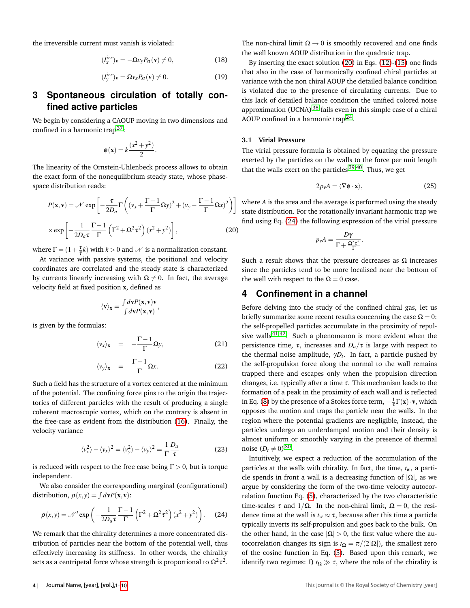the irreversible current must vanish is violated:

$$
(I_x^{irr})_v = -\Omega v_y P_{st}(v) \neq 0,
$$
\n(18)

$$
(I_y^{irr})_v = \Omega v_x P_{st}(v) \neq 0.
$$
 (19)

# <span id="page-3-0"></span>**3 Spontaneous circulation of totally confined active particles**

We begin by considering a CAOUP moving in two dimensions and confined in a harmonic trap<sup>[37](#page-9-32)</sup>:

$$
\phi(\mathbf{x}) = k \frac{(x^2 + y^2)}{2}.
$$

The linearity of the Ornstein-Uhlenbeck process allows to obtain the exact form of the nonequilibrium steady state, whose phasespace distribution reads:

<span id="page-3-2"></span>
$$
P(\mathbf{x}, \mathbf{v}) = \mathcal{N} \exp\left[ -\frac{\tau}{2D_a} \Gamma\left( (v_x + \frac{\Gamma - 1}{\Gamma} \Omega y)^2 + (v_y - \frac{\Gamma - 1}{\Gamma} \Omega x)^2 \right) \right]
$$

$$
\times \exp\left[ -\frac{1}{2D_a \tau} \frac{\Gamma - 1}{\Gamma} \left( \Gamma^2 + \Omega^2 \tau^2 \right) (x^2 + y^2) \right],
$$
(20)

where  $\Gamma = (1 + \frac{\tau}{\gamma}k)$  with  $k > 0$  and  $\mathcal N$  is a normalization constant.

At variance with passive systems, the positional and velocity coordinates are correlated and the steady state is characterized by currents linearly increasing with  $\Omega \neq 0$ . In fact, the average velocity field at fixed position x, defined as

$$
\langle \mathbf{v} \rangle_{\mathbf{x}} = \frac{\int d\mathbf{v} P(\mathbf{x}, \mathbf{v}) \mathbf{v}}{\int d\mathbf{v} P(\mathbf{x}, \mathbf{v})},
$$

is given by the formulas:

$$
\langle v_x \rangle_{\mathbf{x}} = -\frac{\Gamma - 1}{\Gamma} \Omega y, \tag{21}
$$

$$
\langle v_y \rangle_{\mathbf{x}} = \frac{\Gamma - 1}{\Gamma} \Omega x. \tag{22}
$$

Such a field has the structure of a vortex centered at the minimum of the potential. The confining force pins to the origin the trajectories of different particles with the result of producing a single coherent macroscopic vortex, which on the contrary is absent in the free-case as evident from the distribution [\(16\)](#page-2-2). Finally, the velocity variance

$$
\langle v_x^2 \rangle - \langle v_x \rangle^2 = \langle v_y^2 \rangle - \langle v_y \rangle^2 = \frac{1}{\Gamma} \frac{D_a}{\tau}
$$
 (23)

is reduced with respect to the free case being  $\Gamma > 0$ , but is torque independent.

We also consider the corresponding marginal (configurational) distribution,  $\rho(x, y) = \int d\mathbf{v} P(\mathbf{x}, \mathbf{v})$ :

<span id="page-3-3"></span>
$$
\rho(x,y) = \mathcal{N}' \exp\left(-\frac{1}{2D_a \tau} \frac{\Gamma - 1}{\Gamma} \left(\Gamma^2 + \Omega^2 \tau^2\right) (x^2 + y^2)\right). \tag{24}
$$

We remark that the chirality determines a more concentrated distribution of particles near the bottom of the potential well, thus effectively increasing its stiffness. In other words, the chirality acts as a centripetal force whose strength is proportional to  $\Omega^2 \tau^2.$ 

The non-chiral limit  $\Omega \rightarrow 0$  is smoothly recovered and one finds the well known AOUP distribution in the quadratic trap.

By inserting the exact solution [\(20\)](#page-3-2) in Eqs. [\(12\)](#page-2-3)-[\(15\)](#page-2-4) one finds that also in the case of harmonically confined chiral particles at variance with the non chiral AOUP the detailed balance condition is violated due to the presence of circulating currents. Due to this lack of detailed balance condition the unified colored noise approximation (UCNA) [38](#page-9-33) fails even in this simple case of a chiral AOUP confined in a harmonic trap<sup>[24](#page-9-20)</sup>.

#### **3.1 Virial Pressure**

The virial pressure formula is obtained by equating the pressure exerted by the particles on the walls to the force per unit length that the walls exert on the particles  $39,40$  $39,40$ . Thus, we get

$$
2p_{\nu}A = \langle \nabla \phi \cdot \mathbf{x} \rangle, \tag{25}
$$

where *A* is the area and the average is performed using the steady state distribution. For the rotationally invariant harmonic trap we find using Eq. [\(24\)](#page-3-3) the following expression of the virial pressure

$$
p_{v}A = \frac{D\gamma}{\Gamma + \frac{\Omega^2 \tau^2}{\Gamma}}.
$$

Such a result shows that the pressure decreases as  $\Omega$  increases since the particles tend to be more localised near the bottom of the well with respect to the  $\Omega = 0$  case.

### <span id="page-3-1"></span>**4 Confinement in a channel**

Before delving into the study of the confined chiral gas, let us briefly summarize some recent results concerning the case  $\Omega = 0$ : the self-propelled particles accumulate in the proximity of repulsive walls  $41,42$  $41,42$ . Such a phenomenon is more evident when the persistence time, τ, increases and  $D<sub>a</sub>/τ$  is large with respect to the thermal noise amplitude, γ*Dt* . In fact, a particle pushed by the self-propulsion force along the normal to the wall remains trapped there and escapes only when the propulsion direction changes, i.e. typically after a time  $\tau$ . This mechanism leads to the formation of a peak in the proximity of each wall and is reflected in Eq. [\(8\)](#page-2-0) by the presence of a Stokes force term,  $-\frac{1}{\tau}\Gamma(\mathbf{x}) \cdot \mathbf{v}$ , which opposes the motion and traps the particle near the walls. In the region where the potential gradients are negligible, instead, the particles undergo an underdamped motion and their density is almost uniform or smoothly varying in the presence of thermal noise  $(D_t \neq 0)$ <sup>[30](#page-9-25)</sup>.

Intuitively, we expect a reduction of the accumulation of the particles at the walls with chirality. In fact, the time, *tw*, a particle spends in front a wall is a decreasing function of  $|\Omega|$ , as we argue by considering the form of the two-time velocity autocorrelation function Eq. [\(5\)](#page-1-3), characterized by the two characteristic time-scales  $\tau$  and  $1/\Omega$ . In the non-chiral limit,  $\Omega = 0$ , the residence time at the wall is  $t_w \approx \tau$ , because after this time a particle typically inverts its self-propulsion and goes back to the bulk. On the other hand, in the case  $|\Omega| > 0$ , the first value where the autocorrelation changes its sign is  $t_{\Omega} = \pi/(2|\Omega|)$ , the smallest zero of the cosine function in Eq. [\(5\)](#page-1-3). Based upon this remark, we identify two regimes: I)  $t_{\Omega} \gg \tau$ , where the role of the chirality is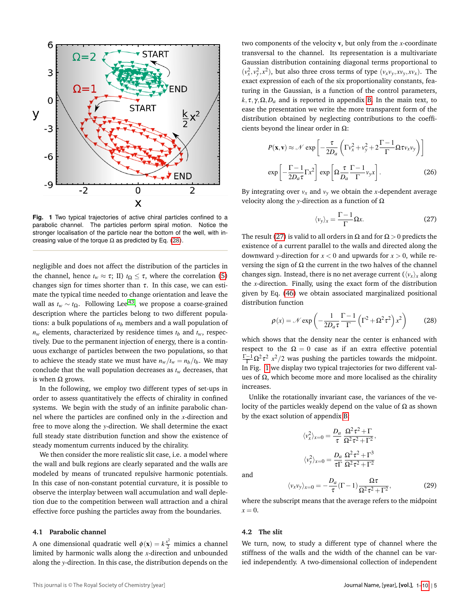<span id="page-4-2"></span>

**Fig. 1** Two typical trajectories of active chiral particles confined to a parabolic channel. The particles perform spiral motion. Notice the stronger localisation of the particle near the bottom of the well, with increasing value of the torque  $\Omega$  as predicted by Eq. [\(28\)](#page-4-0).

negligible and does not affect the distribution of the particles in the channel, hence  $t_w \approx \tau$ ; II)  $t_{\Omega} \leq \tau$ , where the correlation [\(5\)](#page-1-3) changes sign for times shorter than  $\tau$ . In this case, we can estimate the typical time needed to change orientation and leave the wall as  $t<sub>w</sub> ∼ t<sub>Ω</sub>$ . Following Lee<sup>[43](#page-9-38)</sup>, we propose a coarse-grained description where the particles belong to two different populations: a bulk populations of  $n<sub>b</sub>$  members and a wall population of  $n_w$  elements, characterized by residence times  $t_b$  and  $t_w$ , respectively. Due to the permanent injection of energy, there is a continuous exchange of particles between the two populations, so that to achieve the steady state we must have  $n_w/t_w = n_b/t_b$ . We may conclude that the wall population decreases as *tw* decreases, that is when  $Ω$  grows.

In the following, we employ two different types of set-ups in order to assess quantitatively the effects of chirality in confined systems. We begin with the study of an infinite parabolic channel where the particles are confined only in the *x*-direction and free to move along the *y*-direction. We shall determine the exact full steady state distribution function and show the existence of steady momentum currents induced by the chirality.

We then consider the more realistic slit case, i.e. a model where the wall and bulk regions are clearly separated and the walls are modeled by means of truncated repulsive harmonic potentials. In this case of non-constant potential curvature, it is possible to observe the interplay between wall accumulation and wall depletion due to the competition between wall attraction and a chiral effective force pushing the particles away from the boundaries.

#### <span id="page-4-3"></span>**4.1 Parabolic channel**

A one dimensional quadratic well  $\phi(\mathbf{x}) = k \frac{x^2}{2}$  mimics a channel limited by harmonic walls along the *x*-direction and unbounded along the *y*-direction. In this case, the distribution depends on the two components of the velocity v, but only from the *x*-coordinate transversal to the channel. Its representation is a multivariate Gaussian distribution containing diagonal terms proportional to  $(v_x^2, v_y^2, x^2)$ , but also three cross terms of type  $(v_xv_y, xv_y, xv_x)$ . The exact expression of each of the six proportionality constants, featuring in the Gaussian, is a function of the control parameters,  $k, \tau, \gamma, \Omega, D_a$  and is reported in appendix [B.](#page-8-2) In the main text, to ease the presentation we write the more transparent form of the distribution obtained by neglecting contributions to the coefficients beyond the linear order in  $\Omega$ :

$$
P(\mathbf{x}, \mathbf{v}) \approx \mathcal{N} \exp\left[-\frac{\tau}{2D_a} \left(\Gamma v_x^2 + v_y^2 + 2\frac{\Gamma - 1}{\Gamma} \Omega \tau v_x v_y\right)\right]
$$

$$
\exp\left[-\frac{\Gamma - 1}{2D_a \tau} \Gamma x^2\right] \exp\left[\Omega \frac{\tau}{D_a} \frac{\Gamma - 1}{\Gamma} v_y x\right].
$$
(26)

By integrating over  $v_x$  and  $v_y$  we obtain the *x*-dependent average velocity along the *y*-direction as a function of Ω

<span id="page-4-1"></span>
$$
\langle v_y \rangle_x = \frac{\Gamma - 1}{\Gamma} \Omega x. \tag{27}
$$

The result [\(27\)](#page-4-1) is valid to all orders in  $\Omega$  and for  $\Omega > 0$  predicts the existence of a current parallel to the walls and directed along the downward *y*-direction for  $x < 0$  and upwards for  $x > 0$ , while reversing the sign of  $\Omega$  the current in the two halves of the channel changes sign. Instead, there is no net average current  $(\langle v_x \rangle_x)$  along the *x*-direction. Finally, using the exact form of the distribution given by Eq. [\(46\)](#page-8-3) we obtain associated marginalized positional distribution function

<span id="page-4-0"></span>
$$
\rho(x) = \mathcal{N} \exp\left(-\frac{1}{2D_a \tau} \frac{\Gamma - 1}{\Gamma} \left(\Gamma^2 + \Omega^2 \tau^2\right) x^2\right) \tag{28}
$$

which shows that the density near the center is enhanced with respect to the  $\Omega = 0$  case as if an extra effective potential  $\frac{\Gamma-1}{\Gamma} \Omega^2 \tau^2$   $x^2/2$  was pushing the particles towards the midpoint. In Fig. [1](#page-4-2) we display two typical trajectories for two different values of  $Ω$ , which become more and more localised as the chirality increases.

Unlike the rotationally invariant case, the variances of the velocity of the particles weakly depend on the value of  $\Omega$  as shown by the exact solution of appendix [B:](#page-8-2)

$$
\langle v_x^2 \rangle_{x=0} = \frac{D_a}{\tau} \frac{\Omega^2 \tau^2 + \Gamma}{\Omega^2 \tau^2 + \Gamma^2},
$$

$$
\langle v_y^2 \rangle_{x=0} = \frac{D_a}{\tau \Gamma} \frac{\Omega^2 \tau^2 + \Gamma^3}{\Omega^2 \tau^2 + \Gamma^2}
$$

and

$$
\langle v_x v_y \rangle_{x=0} = -\frac{D_a}{\tau} (\Gamma - 1) \frac{\Omega \tau}{\Omega^2 \tau^2 + \Gamma^2},\tag{29}
$$

where the subscript means that the average refers to the midpoint  $x = 0$ .

#### **4.2 The slit**

We turn, now, to study a different type of channel where the stiffness of the walls and the width of the channel can be varied independently. A two-dimensional collection of independent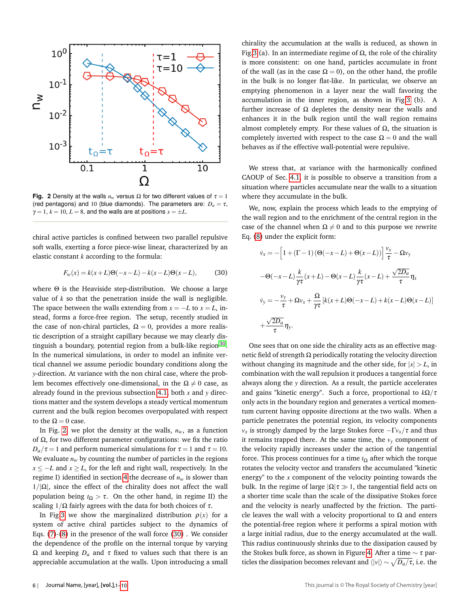<span id="page-5-0"></span>

**Fig. 2** Density at the walls  $n_w$  versus  $\Omega$  for two different values of  $\tau = 1$ (red pentagons) and 10 (blue diamonds). The parameters are:  $D_a = \tau$ ,  $\gamma = 1, k = 10, L = 8$ , and the walls are at positions  $x = \pm L$ .

chiral active particles is confined between two parallel repulsive soft walls, exerting a force piece-wise linear, characterized by an elastic constant *k* according to the formula:

<span id="page-5-1"></span>
$$
F_w(x) = k(x+L)\Theta(-x-L) - k(x-L)\Theta(x-L),
$$
 (30)

where Θ is the Heaviside step-distribution. We choose a large value of *k* so that the penetration inside the wall is negligible. The space between the walls extending from  $x = -L$  to  $x = L$ , instead, forms a force-free region. The setup, recently studied in the case of non-chiral particles,  $\Omega = 0$ , provides a more realistic description of a straight capillary because we may clearly dis-tinguish a boundary, potential region from a bulk-like region<sup>[30](#page-9-25)</sup>. In the numerical simulations, in order to model an infinite vertical channel we assume periodic boundary conditions along the *y*-direction. At variance with the non chiral case, where the problem becomes effectively one-dimensional, in the  $\Omega \neq 0$  case, as already found in the previous subsection [4.1,](#page-4-3) both *x* and *y* directions matter and the system develops a steady vertical momentum current and the bulk region becomes overpopulated with respect to the  $Ω = 0$  case.

In Fig. [2,](#page-5-0) we plot the density at the walls,  $n_w$ , as a function of  $Ω$ , for two different parameter configurations: we fix the ratio  $D_a/\tau = 1$  and perform numerical simulations for  $\tau = 1$  and  $\tau = 10$ . We evaluate  $n_w$  by counting the number of particles in the regions *x* ≤ −*L* and *x* ≥ *L*, for the left and right wall, respectively. In the regime I) identified in section [4](#page-3-1) the decrease of  $n_w$  is slower than  $1/|\Omega|$ , since the effect of the chirality does not affect the wall population being  $t<sub>Ω</sub> > τ$ . On the other hand, in regime II) the scaling  $1/\Omega$  fairly agrees with the data for both choices of  $\tau$ .

In Fig[.3](#page-6-0) we show the marginalized distribution  $\rho(x)$  for a system of active chiral particles subject to the dynamics of Eqs. [\(7\)](#page-2-0)-[\(8\)](#page-2-0) in the presence of the wall force [\(30\)](#page-5-1) . We consider the dependence of the profile on the internal torque by varying Ω and keeping  $D<sub>a</sub>$  and  $τ$  fixed to values such that there is an appreciable accumulation at the walls. Upon introducing a small chirality the accumulation at the walls is reduced, as shown in Fig[.3](#page-6-0) (a). In an intermediate regime of  $Ω$ , the role of the chirality is more consistent: on one hand, particles accumulate in front of the wall (as in the case  $\Omega = 0$ ), on the other hand, the profile in the bulk is no longer flat-like. In particular, we observe an emptying phenomenon in a layer near the wall favoring the accumulation in the inner region, as shown in Fig[.3](#page-6-0) (b). A further increase of  $\Omega$  depletes the density near the walls and enhances it in the bulk region until the wall region remains almost completely empty. For these values of  $Ω$ , the situation is completely inverted with respect to the case  $\Omega = 0$  and the wall behaves as if the effective wall-potential were repulsive.

We stress that, at variance with the harmonically confined CAOUP of Sec. [4.1,](#page-4-3) it is possible to observe a transition from a situation where particles accumulate near the walls to a situation where they accumulate in the bulk.

We, now, explain the process which leads to the emptying of the wall region and to the enrichment of the central region in the case of the channel when  $\Omega \neq 0$  and to this purpose we rewrite Eq. [\(8\)](#page-2-0) under the explicit form:

$$
\dot{v}_x = -\left[1 + (\Gamma - 1)\left(\Theta(-x - L) + \Theta(x - L)\right)\right] \frac{v_x}{\tau} - \Omega v_y
$$

$$
-\Theta(-x - L) \frac{k}{\gamma \tau} (x + L) - \Theta(x - L) \frac{k}{\gamma \tau} (x - L) + \frac{\sqrt{2D_a}}{\tau} \eta_x
$$

$$
\dot{v}_y = -\frac{v_y}{\tau} + \Omega v_x + \frac{\Omega}{\gamma \tau} \left[k(x + L)\Theta(-x - L) + k(x - L)\Theta(x - L)\right]
$$

$$
+\frac{\sqrt{2D_a}}{\tau} \eta_y.
$$

One sees that on one side the chirality acts as an effective magnetic field of strength Ω periodically rotating the velocity direction without changing its magnitude and the other side, for  $|x| > L$ , in combination with the wall repulsion it produces a tangential force always along the *y* direction. As a result, the particle accelerates and gains "kinetic energy". Such a force, proportional to *k*Ω/τ only acts in the boundary region and generates a vertical momentum current having opposite directions at the two walls. When a particle penetrates the potential region, its velocity components *vx* is strongly damped by the large Stokes force  $-\Gamma v_x/\tau$  and thus it remains trapped there. At the same time, the  $v<sub>y</sub>$  component of the velocity rapidly increases under the action of the tangential force. This process continues for a time *t*<sup>Ω</sup> after which the torque rotates the velocity vector and transfers the accumulated "kinetic energy" to the *x* component of the velocity pointing towards the bulk. In the regime of large  $|\Omega|\tau \gg 1$ , the tangential field acts on a shorter time scale than the scale of the dissipative Stokes force and the velocity is nearly unaffected by the friction. The particle leaves the wall with a velocity proportional to  $\Omega$  and enters the potential-free region where it performs a spiral motion with a large initial radius, due to the energy accumulated at the wall. This radius continuously shrinks due to the dissipation caused by the Stokes bulk force, as shown in Figure [4.](#page-6-1) After a time  $\sim \tau$  particles the dissipation becomes relevant and  $\langle |v| \rangle \sim \sqrt{D_a/\tau},$  i.e. the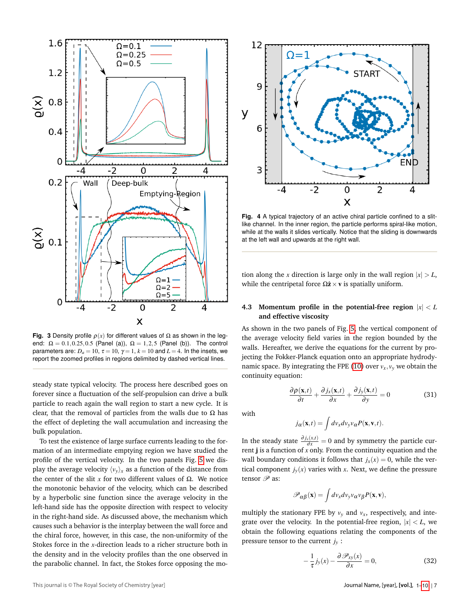<span id="page-6-0"></span>

**Fig. 3** Density profile  $\rho(x)$  for different values of  $\Omega$  as shown in the legend:  $\Omega = 0.1, 0.25, 0.5$  (Panel (a)),  $\Omega = 1, 2, 5$  (Panel (b)). The control parameters are:  $D_a = 10$ ,  $\tau = 10$ ,  $\gamma = 1$ ,  $k = 10$  and  $L = 4$ . In the insets, we report the zoomed profiles in regions delimited by dashed vertical lines.

steady state typical velocity. The process here described goes on forever since a fluctuation of the self-propulsion can drive a bulk particle to reach again the wall region to start a new cycle. It is clear, that the removal of particles from the walls due to  $\Omega$  has the effect of depleting the wall accumulation and increasing the bulk population.

To test the existence of large surface currents leading to the formation of an intermediate emptying region we have studied the profile of the vertical velocity. In the two panels Fig. [5](#page-7-0) we display the average velocity  $\langle v_y \rangle_x$  as a function of the distance from the center of the slit *x* for two different values of  $Ω$ . We notice the monotonic behavior of the velocity, which can be described by a hyperbolic sine function since the average velocity in the left-hand side has the opposite direction with respect to velocity in the right-hand side. As discussed above, the mechanism which causes such a behavior is the interplay between the wall force and the chiral force, however, in this case, the non-uniformity of the Stokes force in the *x*-direction leads to a richer structure both in the density and in the velocity profiles than the one observed in the parabolic channel. In fact, the Stokes force opposing the mo-

<span id="page-6-1"></span>

**Fig. 4** A typical trajectory of an active chiral particle confined to a slitlike channel. In the inner region, the particle performs spiral-like motion, while at the walls it slides vertically. Notice that the sliding is downwards at the left wall and upwards at the right wall.

tion along the *x* direction is large only in the wall region  $|x| > L$ , while the centripetal force  $\Omega \hat{z} \times v$  is spatially uniform.

#### **4.3** Momentum profile in the potential-free region  $|x| < L$ **and effective viscosity**

As shown in the two panels of Fig. [5,](#page-7-0) the vertical component of the average velocity field varies in the region bounded by the walls. Hereafter, we derive the equations for the current by projecting the Fokker-Planck equation onto an appropriate hydrody-namic space. By integrating the FPE [\(10\)](#page-2-1) over  $v_x$ ,  $v_y$  we obtain the continuity equation:

$$
\frac{\partial \rho(\mathbf{x},t)}{\partial t} + \frac{\partial j_x(\mathbf{x},t)}{\partial x} + \frac{\partial j_y(\mathbf{x},t)}{\partial y} = 0
$$
 (31)

with

$$
j_{\alpha}(\mathbf{x},t) = \int dv_x dv_y v_{\alpha} P(\mathbf{x},\mathbf{v},t).
$$

In the steady state  $\frac{\partial j_x(x,t)}{\partial x} = 0$  and by symmetry the particle current j is a function of *x* only. From the continuity equation and the wall boundary conditions it follows that  $j_x(x) = 0$ , while the vertical component  $j_y(x)$  varies with *x*. Next, we define the pressure tensor  $\mathscr P$  as:

$$
\mathscr{P}_{\alpha\beta}(\mathbf{x}) = \int dv_x dv_y v_{\alpha} v_{\beta} P(\mathbf{x}, \mathbf{v}),
$$

multiply the stationary FPE by  $v_y$  and  $v_x$ , respectively, and integrate over the velocity. In the potential-free region,  $|x| < L$ , we obtain the following equations relating the components of the pressure tensor to the current  $j_y$  :

<span id="page-6-2"></span>
$$
-\frac{1}{\tau}\dot{J}_y(x) - \frac{\partial \mathscr{P}_{xy}(x)}{\partial x} = 0,\tag{32}
$$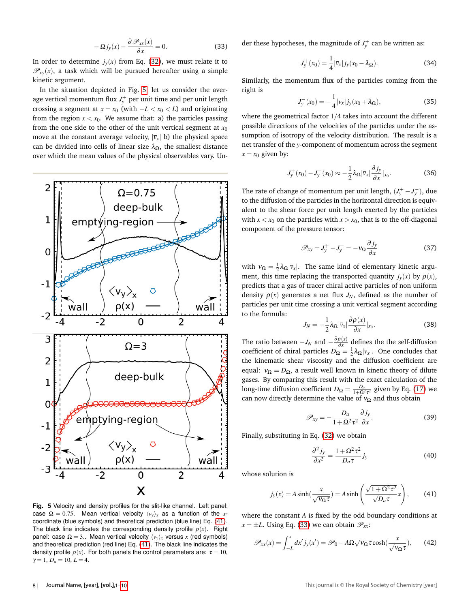<span id="page-7-2"></span>
$$
-\Omega j_{y}(x) - \frac{\partial \mathcal{P}_{xx}(x)}{\partial x} = 0.
$$
 (33)

In order to determine  $j_y(x)$  from Eq. [\(32\)](#page-6-2), we must relate it to  $\mathcal{P}_{xy}(x)$ , a task which will be pursued hereafter using a simple kinetic argument.

In the situation depicted in Fig. [5,](#page-7-0) let us consider the average vertical momentum flux  $J_y^+$  per unit time and per unit length crossing a segment at  $x = x_0$  (with  $-L < x_0 < L$ ) and originating from the region  $x < x_0$ . We assume that: a) the particles passing from the one side to the other of the unit vertical segment at  $x_0$ move at the constant average velocity,  $|\bar{v}_x|$  b) the physical space can be divided into cells of linear size  $\lambda_{\Omega}$ , the smallest distance over which the mean values of the physical observables vary. Un-

<span id="page-7-0"></span>

**Fig. 5** Velocity and density profiles for the slit-like channel. Left panel: case  $\Omega = 0.75$ . Mean vertical velocity  $\langle v_y \rangle_x$  as a function of the *x*coordinate (blue symbols) and theoretical prediction (blue line) Eq. [\(41\)](#page-7-1). The black line indicates the corresponding density profile  $\rho(x)$ . Right panel: case  $\Omega = 3$ .. Mean vertical velocity  $\langle v_y \rangle_x$  versus *x* (red symbols) and theoretical prediction (red line) Eq. [\(41\)](#page-7-1). The black line indicates the density profile  $\rho(x)$ . For both panels the control parameters are:  $\tau = 10$ ,  $\gamma = 1, D_a = 10, L = 4.$ 

der these hypotheses, the magnitude of  $J_y^+$  can be written as:

$$
J_{y}^{+}(x_{0}) = \frac{1}{4} |\bar{v}_{x}| j_{y}(x_{0} - \lambda_{\Omega}).
$$
 (34)

Similarly, the momentum flux of the particles coming from the right is

$$
J_{y}^{-}(x_{0}) = -\frac{1}{4}|\bar{v}_{x}|j_{y}(x_{0} + \lambda_{\Omega}), \qquad (35)
$$

where the geometrical factor 1/4 takes into account the different possible directions of the velocities of the particles under the assumption of isotropy of the velocity distribution. The result is a net transfer of the *y*-component of momentum across the segment  $x = x_0$  given by:

$$
J_y^+(x_0) - J_y^-(x_0) \approx -\frac{1}{2}\lambda_\Omega |\bar{v}_x| \frac{\partial j_y}{\partial x}|_{x_0}.
$$
 (36)

The rate of change of momentum per unit length,  $(J_y^+ - J_y^-)$ , due to the diffusion of the particles in the horizontal direction is equivalent to the shear force per unit length exerted by the particles with  $x < x_0$  on the particles with  $x > x_0$ , that is to the off-diagonal component of the pressure tensor:

$$
\mathscr{P}_{xy} = J_y^+ - J_y^- = -\nu_\Omega \frac{\partial j_y}{\partial x} \tag{37}
$$

with  $v_{\Omega} = \frac{1}{2} \lambda_{\Omega} |\bar{v}_x|$ . The same kind of elementary kinetic argument, this time replacing the transported quantity  $j_y(x)$  by  $\rho(x)$ , predicts that a gas of tracer chiral active particles of non uniform density  $\rho(x)$  generates a net flux  $J_N$ , defined as the number of particles per unit time crossing a unit vertical segment according to the formula:

$$
J_N = -\frac{1}{2}\lambda_{\Omega}|\bar{v}_x|\frac{\partial \rho(x)}{\partial x}|_{x_0}.
$$
 (38)

The ratio between  $-J_N$  and  $-\frac{\partial \rho(x)}{\partial x}$  $\frac{\partial u(x)}{\partial x}$  defines the the self-diffusion coefficient of chiral particles  $D_{\Omega} = \frac{1}{2} \lambda_{\Omega} |\bar{v}_x|$ . One concludes that the kinematic shear viscosity and the diffusion coefficient are equal:  $v_{\Omega} = D_{\Omega}$ , a result well known in kinetic theory of dilute gases. By comparing this result with the exact calculation of the long-time diffusion coefficient  $D_{\Omega} = \frac{D_a}{1 + \Omega^2 \tau^2}$  given by Eq. [\(17\)](#page-2-5) we can now directly determine the value of  $v_{\Omega}$  and thus obtain

$$
\mathscr{P}_{xy} = -\frac{D_a}{1 + \Omega^2 \tau^2} \frac{\partial j_y}{\partial x}.
$$
 (39)

Finally, substituting in Eq. [\(32\)](#page-6-2) we obtain

$$
\frac{\partial^2 j_y}{\partial x^2} = \frac{1 + \Omega^2 \tau^2}{D_a \tau} j_y \tag{40}
$$

whose solution is

<span id="page-7-1"></span>
$$
j_{y}(x) = A \sinh(\frac{x}{\sqrt{v_{\Omega} \tau}}) = A \sinh\left(\frac{\sqrt{1 + \Omega^{2} \tau^{2}}}{\sqrt{D_{a} \tau}} x\right),
$$
 (41)

where the constant *A* is fixed by the odd boundary conditions at  $x = \pm L$ . Using Eq. [\(33\)](#page-7-2) we can obtain  $\mathscr{P}_{xx}$ :

$$
\mathscr{P}_{xx}(x) = \int_{-L}^{x} dx' j_{y}(x') = \mathscr{P}_{0} - A\Omega \sqrt{\mathsf{v}_{\Omega} \tau} \cosh(\frac{x}{\sqrt{\mathsf{v}_{\Omega} \tau}}), \qquad (42)
$$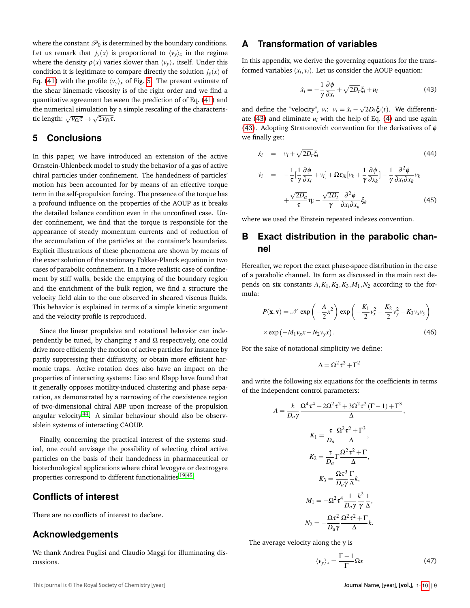where the constant  $\mathcal{P}_0$  is determined by the boundary conditions. Let us remark that  $j_y(x)$  is proportional to  $\langle v_y \rangle_x$  in the regime where the density  $\rho(x)$  varies slower than  $\langle v_y \rangle_x$  itself. Under this condition it is legitimate to compare directly the solution  $j_y(x)$  of Eq. [\(41\)](#page-7-1) with the profile  $\langle v_y \rangle_x$  of Fig. [5.](#page-7-0) The present estimate of the shear kinematic viscosity is of the right order and we find a quantitative agreement between the prediction of of Eq. [\(41\)](#page-7-1) and the numerical simulation by a simple rescaling of the characteris-<br>∴ tic length:  $\sqrt{v_{\Omega} \tau} \rightarrow \sqrt{2v_{\Omega} \tau}$ .

# <span id="page-8-0"></span>**5 Conclusions**

In this paper, we have introduced an extension of the active Ornstein-Uhlenbeck model to study the behavior of a gas of active chiral particles under confinement. The handedness of particles' motion has been accounted for by means of an effective torque term in the self-propulsion forcing. The presence of the torque has a profound influence on the properties of the AOUP as it breaks the detailed balance condition even in the unconfined case. Under confinement, we find that the torque is responsible for the appearance of steady momentum currents and of reduction of the accumulation of the particles at the container's boundaries. Explicit illustrations of these phenomena are shown by means of the exact solution of the stationary Fokker-Planck equation in two cases of parabolic confinement. In a more realistic case of confinement by stiff walls, beside the emptying of the boundary region and the enrichment of the bulk region, we find a structure the velocity field akin to the one observed in sheared viscous fluids. This behavior is explained in terms of a simple kinetic argument and the velocity profile is reproduced.

Since the linear propulsive and rotational behavior can independently be tuned, by changing  $\tau$  and  $\Omega$  respectively, one could drive more efficiently the motion of active particles for instance by partly suppressing their diffusivity, or obtain more efficient harmonic traps. Active rotation does also have an impact on the properties of interacting systems: Liao and Klapp have found that it generally opposes motility-induced clustering and phase separation, as demonstrated by a narrowing of the coexistence region of two-dimensional chiral ABP upon increase of the propulsion angular velocity<sup>[44](#page-9-39)</sup>. A similar behaviour should also be observablein systems of interacting CAOUP.

Finally, concerning the practical interest of the systems studied, one could envisage the possibility of selecting chiral active particles on the basis of their handedness in pharmaceutical or biotechnological applications where chiral levogyre or dextrogyre properties correspond to different functionalities <sup>[19](#page-9-17)[,45](#page-9-40)</sup>.

# **Conflicts of interest**

There are no conflicts of interest to declare.

# **Acknowledgements**

We thank Andrea Puglisi and Claudio Maggi for illuminating discussions.

<span id="page-8-1"></span>In this appendix, we derive the governing equations for the transformed variables  $(x_i, v_i)$ . Let us consider the AOUP equation:

<span id="page-8-4"></span>
$$
\dot{x}_i = -\frac{1}{\gamma} \frac{\partial \phi}{\partial x_i} + \sqrt{2D_t} \xi_i + u_i \tag{43}
$$

and define the "velocity",  $v_i$ :  $v_i = \dot{x}_i - \sqrt{2D_t} \xi_i(t)$ . We differenti-ate [\(43\)](#page-8-4) and eliminate  $u_i$  with the help of Eq. [\(4\)](#page-1-4) and use again [\(43\)](#page-8-4). Adopting Stratonovich convention for the derivatives of  $\phi$ we finally get:

$$
\dot{x}_i = v_i + \sqrt{2D_t} \xi_i \tag{44}
$$

$$
\dot{v}_i = -\frac{1}{\tau} [\frac{1}{\gamma} \frac{\partial \phi}{\partial x_i} + v_i] + \Omega \varepsilon_{ik} [v_k + \frac{1}{\gamma} \frac{\partial \phi}{\partial x_k}] - \frac{1}{\gamma} \frac{\partial^2 \phi}{\partial x_i \partial x_k} v_k + \frac{\sqrt{2D_a}}{\tau} \eta_i - \frac{\sqrt{2D_t}}{\gamma} \frac{\partial^2 \phi}{\partial x_i \partial x_k} \xi_k
$$
\n(45)

where we used the Einstein repeated indexes convention.

# <span id="page-8-2"></span>**B Exact distribution in the parabolic channel**

Hereafter, we report the exact phase-space distribution in the case of a parabolic channel. Its form as discussed in the main text depends on six constants  $A$ ,  $K_1$ ,  $K_2$ ,  $K_3$ ,  $M_1$ ,  $N_2$  according to the formula:

<span id="page-8-3"></span>
$$
P(\mathbf{x}, \mathbf{v}) = \mathcal{N} \exp\left(-\frac{A}{2}x^2\right) \exp\left(-\frac{K_1}{2}v_x^2 - \frac{K_2}{2}v_y^2 - K_3v_xv_y\right)
$$
  
×  $\exp\left(-M_1v_xx - N_2v_yx\right)$ . (46)

For the sake of notational simplicity we define:

$$
\Delta = \Omega^2 \tau^2 + \Gamma^2
$$

and write the following six equations for the coefficients in terms of the independent control parameters:

$$
A = \frac{k}{D_a \gamma} \frac{\Omega^4 \tau^4 + 2\Omega^2 \tau^2 + 3\Omega^2 \tau^2 (\Gamma - 1) + \Gamma^3}{\Delta},
$$
  
\n
$$
K_1 = \frac{\tau}{D_a} \frac{\Omega^2 \tau^2 + \Gamma^3}{\Delta},
$$
  
\n
$$
K_2 = \frac{\tau}{D_a} \Gamma \frac{\Omega^2 \tau^2 + \Gamma}{\Delta},
$$
  
\n
$$
K_3 = \frac{\Omega \tau^3}{D_a \gamma} \frac{\Gamma}{\Delta} k,
$$
  
\n
$$
M_1 = -\Omega^2 \tau^4 \frac{1}{D_a \gamma} \frac{k^2}{\gamma} \frac{1}{\Delta},
$$
  
\n
$$
N_2 = -\frac{\Omega \tau^2}{D_a \gamma} \frac{\Omega^2 \tau^2 + \Gamma}{\Delta} k.
$$

The average velocity along the y is

$$
\langle v_y \rangle_x = \frac{\Gamma - 1}{\Gamma} \Omega x \tag{47}
$$